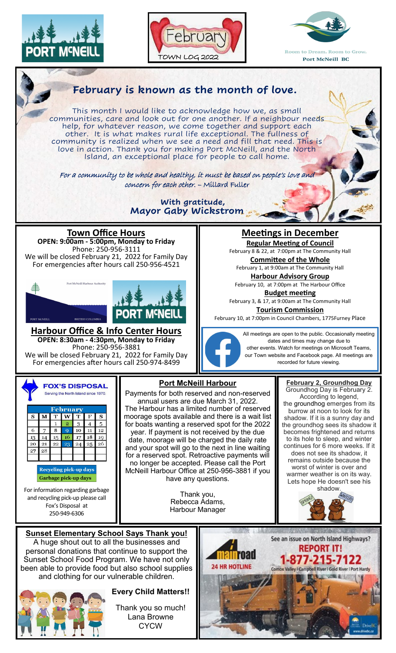







been able to provide food but also school supplies and clothing for our vulnerable children.



## **Every Child Matters!!**

Thank you so much! Lana Browne **CYCW**